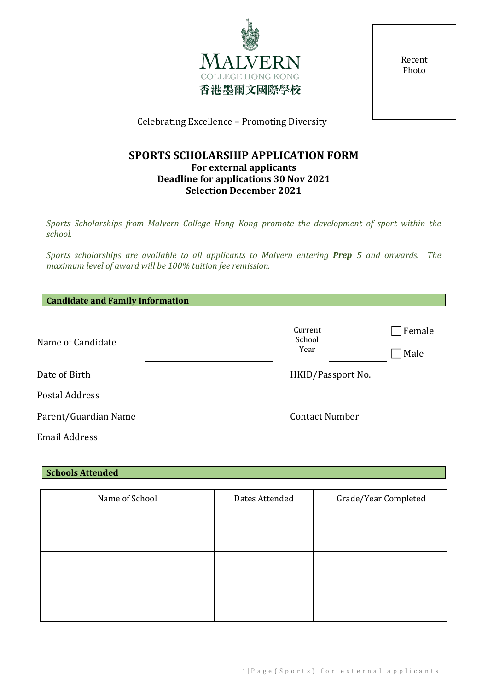

Recent Photo

Celebrating Excellence – Promoting Diversity

# **SPORTS SCHOLARSHIP APPLICATION FORM For external applicants Deadline for applications 30 Nov 2021 Selection December 2021**

*Sports Scholarships from Malvern College Hong Kong promote the development of sport within the school.*

*Sports scholarships are available to all applicants to Malvern entering Prep 5 and onwards. The maximum level of award will be 100% tuition fee remission.*

| <b>Candidate and Family Information</b> |                           |                |
|-----------------------------------------|---------------------------|----------------|
| Name of Candidate                       | Current<br>School<br>Year | Female<br>Male |
| Date of Birth                           | HKID/Passport No.         |                |
| Postal Address                          |                           |                |
| Parent/Guardian Name                    | <b>Contact Number</b>     |                |
| <b>Email Address</b>                    |                           |                |

| <b>Schools Attended</b> |                |                      |
|-------------------------|----------------|----------------------|
|                         |                |                      |
| Name of School          | Dates Attended | Grade/Year Completed |
|                         |                |                      |
|                         |                |                      |
|                         |                |                      |
|                         |                |                      |
|                         |                |                      |
|                         |                |                      |
|                         |                |                      |
|                         |                |                      |
|                         |                |                      |
|                         |                |                      |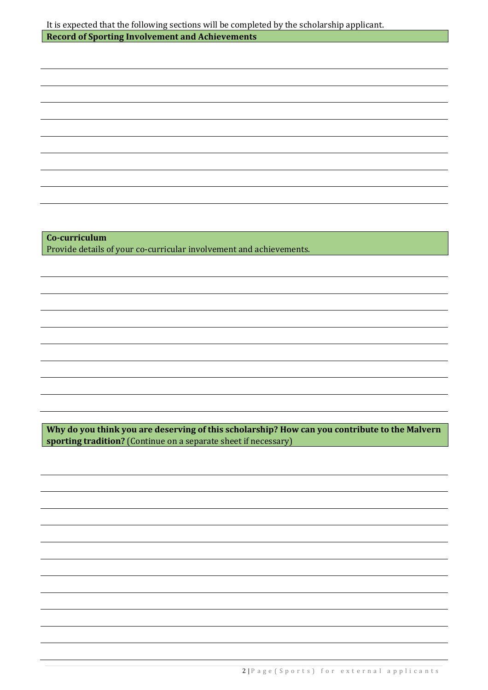| Co-curriculum<br>Provide details of your co-curricular involvement and achievements.<br>Why do you think you are deserving of this scholarship? How can you contribute to the Malvern<br>sporting tradition? (Continue on a separate sheet if necessary) | It is expected that the following sections will be completed by the scholarship applicant. |
|----------------------------------------------------------------------------------------------------------------------------------------------------------------------------------------------------------------------------------------------------------|--------------------------------------------------------------------------------------------|
|                                                                                                                                                                                                                                                          | <b>Record of Sporting Involvement and Achievements</b>                                     |
|                                                                                                                                                                                                                                                          |                                                                                            |
|                                                                                                                                                                                                                                                          |                                                                                            |
|                                                                                                                                                                                                                                                          |                                                                                            |
|                                                                                                                                                                                                                                                          |                                                                                            |
|                                                                                                                                                                                                                                                          |                                                                                            |
|                                                                                                                                                                                                                                                          |                                                                                            |
|                                                                                                                                                                                                                                                          |                                                                                            |
|                                                                                                                                                                                                                                                          |                                                                                            |
|                                                                                                                                                                                                                                                          |                                                                                            |
|                                                                                                                                                                                                                                                          |                                                                                            |
|                                                                                                                                                                                                                                                          |                                                                                            |
|                                                                                                                                                                                                                                                          |                                                                                            |
|                                                                                                                                                                                                                                                          |                                                                                            |
|                                                                                                                                                                                                                                                          |                                                                                            |
|                                                                                                                                                                                                                                                          |                                                                                            |
|                                                                                                                                                                                                                                                          |                                                                                            |
|                                                                                                                                                                                                                                                          |                                                                                            |
|                                                                                                                                                                                                                                                          |                                                                                            |
|                                                                                                                                                                                                                                                          |                                                                                            |
|                                                                                                                                                                                                                                                          |                                                                                            |
|                                                                                                                                                                                                                                                          |                                                                                            |
|                                                                                                                                                                                                                                                          |                                                                                            |
|                                                                                                                                                                                                                                                          |                                                                                            |
|                                                                                                                                                                                                                                                          |                                                                                            |
|                                                                                                                                                                                                                                                          |                                                                                            |
|                                                                                                                                                                                                                                                          |                                                                                            |
|                                                                                                                                                                                                                                                          |                                                                                            |
|                                                                                                                                                                                                                                                          |                                                                                            |
|                                                                                                                                                                                                                                                          |                                                                                            |
|                                                                                                                                                                                                                                                          |                                                                                            |
|                                                                                                                                                                                                                                                          |                                                                                            |
|                                                                                                                                                                                                                                                          |                                                                                            |
|                                                                                                                                                                                                                                                          |                                                                                            |
|                                                                                                                                                                                                                                                          |                                                                                            |
|                                                                                                                                                                                                                                                          |                                                                                            |
|                                                                                                                                                                                                                                                          |                                                                                            |
|                                                                                                                                                                                                                                                          |                                                                                            |
|                                                                                                                                                                                                                                                          |                                                                                            |
|                                                                                                                                                                                                                                                          |                                                                                            |
|                                                                                                                                                                                                                                                          |                                                                                            |
|                                                                                                                                                                                                                                                          |                                                                                            |
|                                                                                                                                                                                                                                                          |                                                                                            |
|                                                                                                                                                                                                                                                          |                                                                                            |
|                                                                                                                                                                                                                                                          |                                                                                            |
|                                                                                                                                                                                                                                                          |                                                                                            |
|                                                                                                                                                                                                                                                          |                                                                                            |
|                                                                                                                                                                                                                                                          |                                                                                            |
|                                                                                                                                                                                                                                                          |                                                                                            |
|                                                                                                                                                                                                                                                          |                                                                                            |
|                                                                                                                                                                                                                                                          |                                                                                            |
|                                                                                                                                                                                                                                                          |                                                                                            |
|                                                                                                                                                                                                                                                          |                                                                                            |
|                                                                                                                                                                                                                                                          |                                                                                            |
|                                                                                                                                                                                                                                                          |                                                                                            |
|                                                                                                                                                                                                                                                          |                                                                                            |
|                                                                                                                                                                                                                                                          |                                                                                            |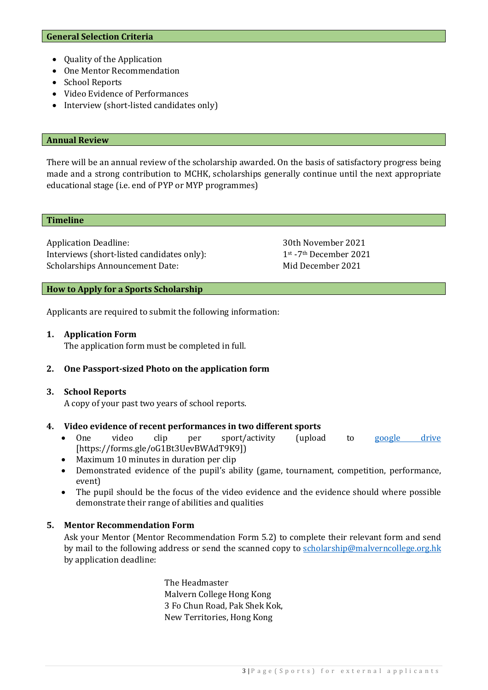- Quality of the Application
- One Mentor Recommendation
- School Reports
- Video Evidence of Performances
- Interview (short-listed candidates only)

#### **Annual Review**

There will be an annual review of the scholarship awarded. On the basis of satisfactory progress being made and a strong contribution to MCHK, scholarships generally continue until the next appropriate educational stage (i.e. end of PYP or MYP programmes)

#### **Timeline**

Application Deadline: 30th November 2021<br>Interviews (short-listed candidates only): 1st-7th December 2021 Interviews (short-listed candidates only): 1<sup>st</sup> -7<sup>th</sup> December 2021<br>Scholarships Announcement Date: Mid December 2021 Scholarships Announcement Date:

## **How to Apply for a Sports Scholarship**

Applicants are required to submit the following information:

#### **1. Application Form**

The application form must be completed in full.

## **2. One Passport-sized Photo on the application form**

#### **3. School Reports**

A copy of your past two years of school reports.

## **4. Video evidence of recent performances in two different sports**

- One video clip per sport/activity (upload to [google drive](https://forms.gle/oG1Bt3UevBWAdT9K9) [https://forms.gle/oG1Bt3UevBWAdT9K9])
- Maximum 10 minutes in duration per clip
- Demonstrated evidence of the pupil's ability (game, tournament, competition, performance, event)
- The pupil should be the focus of the video evidence and the evidence should where possible demonstrate their range of abilities and qualities

## **5. Mentor Recommendation Form**

Ask your Mentor (Mentor Recommendation Form 5.2) to complete their relevant form and send by mail to the following address or send the scanned copy to [scholarship@malverncollege.org.hk](mailto:scholarship@malverncollege.org.hk) by application deadline:

> The Headmaster Malvern College Hong Kong 3 Fo Chun Road, Pak Shek Kok, New Territories, Hong Kong